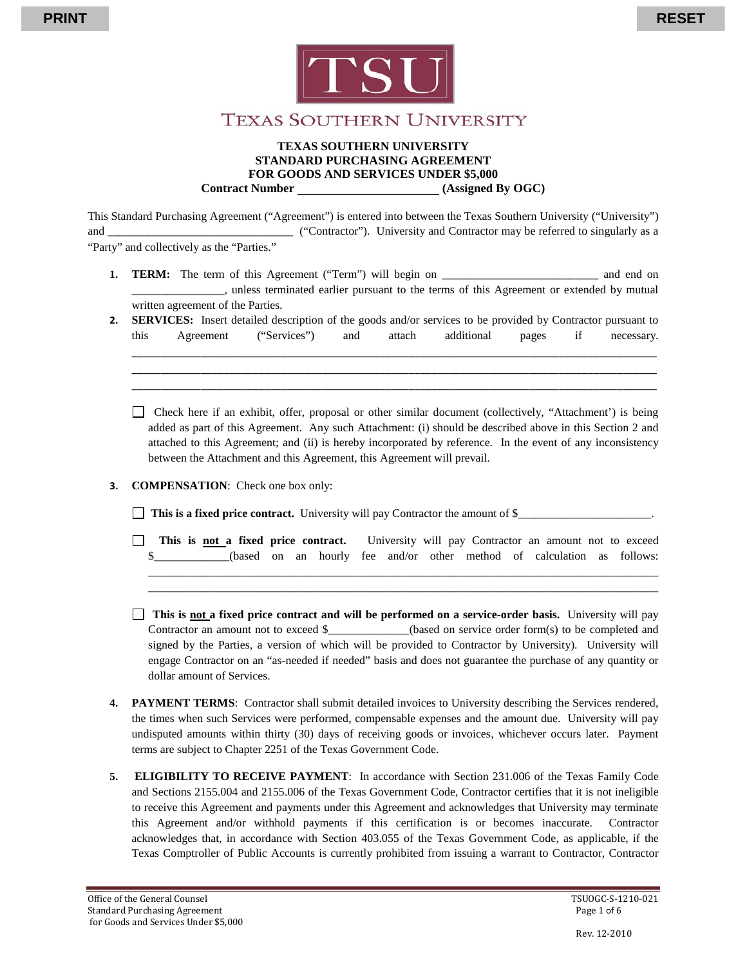



## Texas Southern University

#### **TEXAS SOUTHERN UNIVERSITY STANDARD PURCHASING AGREEMENT FOR GOODS AND SERVICES UNDER \$5,000 Contract Number (Assigned By OGC)**

This Standard Purchasing Agreement ("Agreement") is entered into between the Texas Southern University ("University") and  $($ "Contractor"). University and Contractor may be referred to singularly as a "Party" and collectively as the "Parties."

- **1. TERM:** The term of this Agreement ("Term") will begin on \_\_\_\_\_\_\_\_\_\_\_\_\_\_\_\_\_\_\_\_\_\_\_\_\_\_\_ and end on \_\_\_\_\_\_\_\_\_\_\_\_\_\_\_\_, unless terminated earlier pursuant to the terms of this Agreement or extended by mutual written agreement of the Parties.
- **2. SERVICES:** Insert detailed description of the goods and/or services to be provided by Contractor pursuant to this Agreement ("Services") and attach additional pages if necessary.

 $\overline{\phantom{a}}$  ,  $\overline{\phantom{a}}$  ,  $\overline{\phantom{a}}$  ,  $\overline{\phantom{a}}$  ,  $\overline{\phantom{a}}$  ,  $\overline{\phantom{a}}$  ,  $\overline{\phantom{a}}$  ,  $\overline{\phantom{a}}$  ,  $\overline{\phantom{a}}$  ,  $\overline{\phantom{a}}$  ,  $\overline{\phantom{a}}$  ,  $\overline{\phantom{a}}$  ,  $\overline{\phantom{a}}$  ,  $\overline{\phantom{a}}$  ,  $\overline{\phantom{a}}$  ,  $\overline{\phantom{a}}$  $\overline{a}$  ,  $\overline{a}$  ,  $\overline{a}$  ,  $\overline{a}$  ,  $\overline{a}$  ,  $\overline{a}$  ,  $\overline{a}$  ,  $\overline{a}$  ,  $\overline{a}$  ,  $\overline{a}$  ,  $\overline{a}$  ,  $\overline{a}$  ,  $\overline{a}$  ,  $\overline{a}$  ,  $\overline{a}$  ,  $\overline{a}$  ,  $\overline{a}$  ,  $\overline{a}$  ,  $\overline{a}$  ,  $\overline{a}$  ,  $\overline{a}$  ,  $\overline{a}$  ,  $\overline{a}$  ,  $\overline{a}$  ,  $\overline{a}$  ,  $\overline{a}$  ,  $\overline{a}$  ,  $\overline{a}$  ,  $\overline{a}$  ,  $\overline{a}$  ,  $\overline{a}$  ,  $\overline{a}$  ,  $\overline{a}$  ,  $\overline{a}$  ,  $\overline{a}$  ,  $\overline{a}$  ,  $\overline{a}$  ,  $\overline{a}$  ,  $\overline{a}$  ,  $\overline{a}$  ,

Check here if an exhibit, offer, proposal or other similar document (collectively, "Attachment') is being added as part of this Agreement. Any such Attachment: (i) should be described above in this Section 2 and attached to this Agreement; and (ii) is hereby incorporated by reference. In the event of any inconsistency between the Attachment and this Agreement, this Agreement will prevail.

#### **3. COMPENSATION**: Check one box only:

□ This is a fixed price contract. University will pay Contractor the amount of \$

**This is not a fixed price contract.** University will pay Contractor an amount not to exceed \$\_\_\_\_\_\_\_\_\_\_(based on an hourly fee and/or other method of calculation as follows:

\_\_\_\_\_\_\_\_\_\_\_\_\_\_\_\_\_\_\_\_\_\_\_\_\_\_\_\_\_\_\_\_\_\_\_\_\_\_\_\_\_\_\_\_\_\_\_\_\_\_\_\_\_\_\_\_\_\_\_\_\_\_\_\_\_\_\_\_\_\_\_\_\_\_\_\_\_\_\_\_\_\_\_\_\_\_\_\_ \_\_\_\_\_\_\_\_\_\_\_\_\_\_\_\_\_\_\_\_\_\_\_\_\_\_\_\_\_\_\_\_\_\_\_\_\_\_\_\_\_\_\_\_\_\_\_\_\_\_\_\_\_\_\_\_\_\_\_\_\_\_\_\_\_\_\_\_\_\_\_\_\_\_\_\_\_\_\_\_\_\_\_\_\_\_\_\_

- **This is not a fixed price contract and will be performed on a service-order basis. University will pay** Contractor an amount not to exceed \$\_\_\_\_\_\_\_\_\_\_\_\_(based on service order form(s) to be completed and signed by the Parties, a version of which will be provided to Contractor by University). University will engage Contractor on an "as-needed if needed" basis and does not guarantee the purchase of any quantity or dollar amount of Services.
- **4. PAYMENT TERMS**: Contractor shall submit detailed invoices to University describing the Services rendered, the times when such Services were performed, compensable expenses and the amount due. University will pay undisputed amounts within thirty (30) days of receiving goods or invoices, whichever occurs later. Payment terms are subject to Chapter 2251 of the Texas Government Code.
- **5. ELIGIBILITY TO RECEIVE PAYMENT**: In accordance with Section 231.006 of the Texas Family Code and Sections 2155.004 and 2155.006 of the Texas Government Code, Contractor certifies that it is not ineligible to receive this Agreement and payments under this Agreement and acknowledges that University may terminate this Agreement and/or withhold payments if this certification is or becomes inaccurate. Contractor acknowledges that, in accordance with Section 403.055 of the Texas Government Code, as applicable, if the Texas Comptroller of Public Accounts is currently prohibited from issuing a warrant to Contractor, Contractor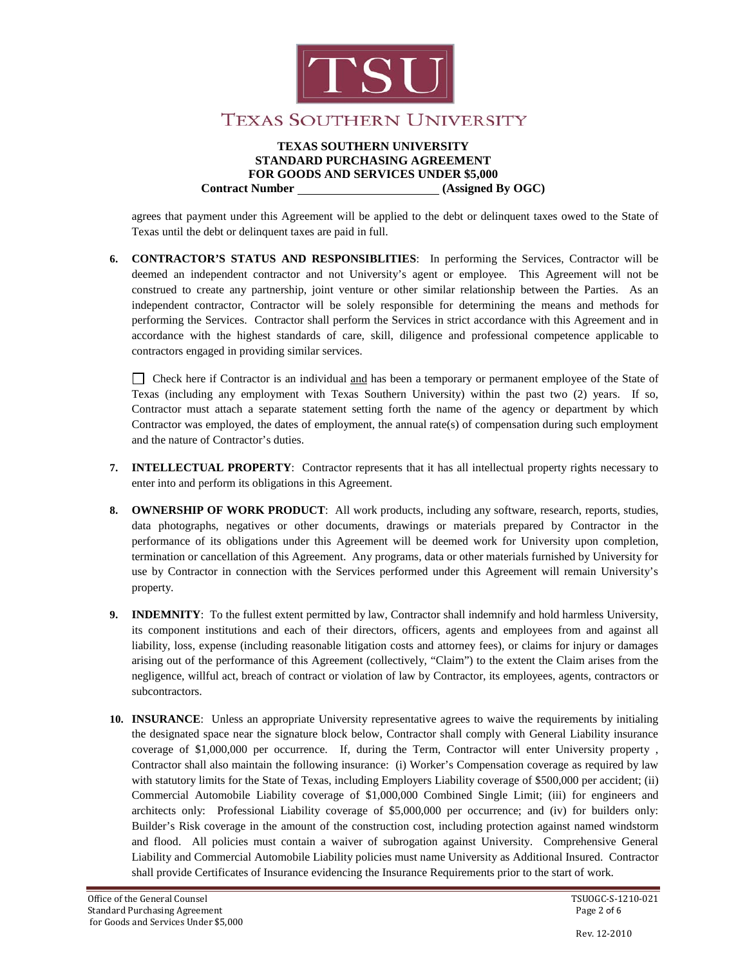

#### **TEXAS SOUTHERN UNIVERSITY STANDARD PURCHASING AGREEMENT FOR GOODS AND SERVICES UNDER \$5,000 Contract Number (Assigned By OGC)**

agrees that payment under this Agreement will be applied to the debt or delinquent taxes owed to the State of Texas until the debt or delinquent taxes are paid in full.

**6. CONTRACTOR'S STATUS AND RESPONSIBLITIES**: In performing the Services, Contractor will be deemed an independent contractor and not University's agent or employee. This Agreement will not be construed to create any partnership, joint venture or other similar relationship between the Parties. As an independent contractor, Contractor will be solely responsible for determining the means and methods for performing the Services. Contractor shall perform the Services in strict accordance with this Agreement and in accordance with the highest standards of care, skill, diligence and professional competence applicable to contractors engaged in providing similar services.

Check here if Contractor is an individual and has been a temporary or permanent employee of the State of Texas (including any employment with Texas Southern University) within the past two (2) years. If so, Contractor must attach a separate statement setting forth the name of the agency or department by which Contractor was employed, the dates of employment, the annual rate(s) of compensation during such employment and the nature of Contractor's duties.

- **7. INTELLECTUAL PROPERTY**: Contractor represents that it has all intellectual property rights necessary to enter into and perform its obligations in this Agreement.
- **8. OWNERSHIP OF WORK PRODUCT**: All work products, including any software, research, reports, studies, data photographs, negatives or other documents, drawings or materials prepared by Contractor in the performance of its obligations under this Agreement will be deemed work for University upon completion, termination or cancellation of this Agreement. Any programs, data or other materials furnished by University for use by Contractor in connection with the Services performed under this Agreement will remain University's property.
- **9. INDEMNITY**: To the fullest extent permitted by law, Contractor shall indemnify and hold harmless University, its component institutions and each of their directors, officers, agents and employees from and against all liability, loss, expense (including reasonable litigation costs and attorney fees), or claims for injury or damages arising out of the performance of this Agreement (collectively, "Claim") to the extent the Claim arises from the negligence, willful act, breach of contract or violation of law by Contractor, its employees, agents, contractors or subcontractors.
- **10. INSURANCE**: Unless an appropriate University representative agrees to waive the requirements by initialing the designated space near the signature block below, Contractor shall comply with General Liability insurance coverage of \$1,000,000 per occurrence. If, during the Term, Contractor will enter University property , Contractor shall also maintain the following insurance: (i) Worker's Compensation coverage as required by law with statutory limits for the State of Texas, including Employers Liability coverage of \$500,000 per accident; (ii) Commercial Automobile Liability coverage of \$1,000,000 Combined Single Limit; (iii) for engineers and architects only: Professional Liability coverage of \$5,000,000 per occurrence; and (iv) for builders only: Builder's Risk coverage in the amount of the construction cost, including protection against named windstorm and flood. All policies must contain a waiver of subrogation against University. Comprehensive General Liability and Commercial Automobile Liability policies must name University as Additional Insured. Contractor shall provide Certificates of Insurance evidencing the Insurance Requirements prior to the start of work.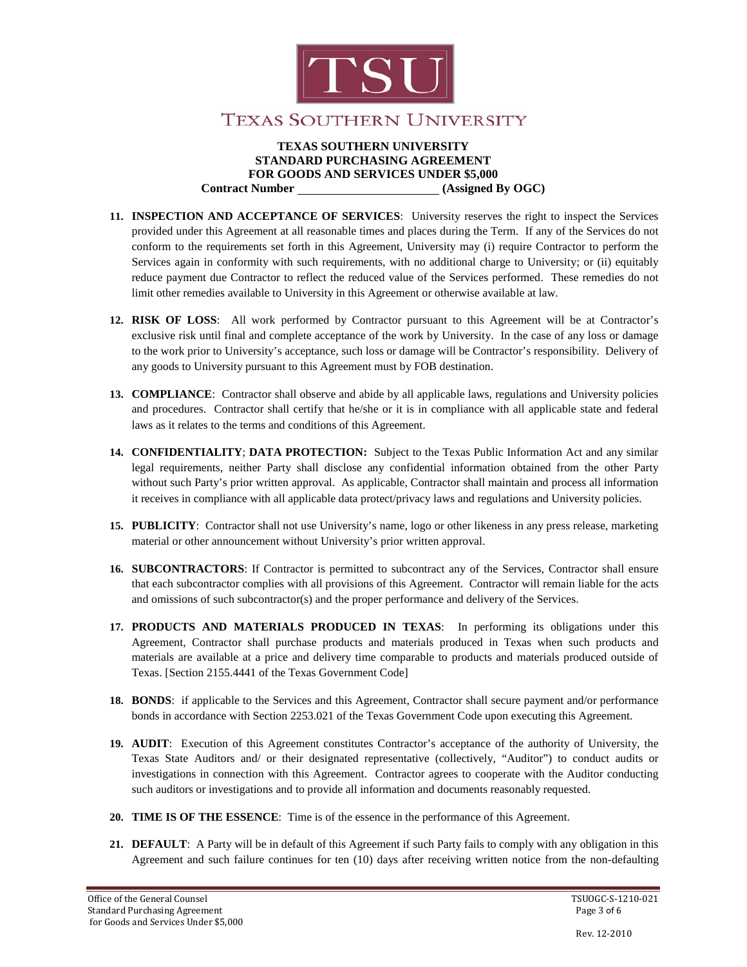

### **TEXAS SOUTHERN UNIVERSITY**

#### **TEXAS SOUTHERN UNIVERSITY STANDARD PURCHASING AGREEMENT FOR GOODS AND SERVICES UNDER \$5,000 Contract Number (Assigned By OGC)**

- **11. INSPECTION AND ACCEPTANCE OF SERVICES**: University reserves the right to inspect the Services provided under this Agreement at all reasonable times and places during the Term. If any of the Services do not conform to the requirements set forth in this Agreement, University may (i) require Contractor to perform the Services again in conformity with such requirements, with no additional charge to University; or (ii) equitably reduce payment due Contractor to reflect the reduced value of the Services performed. These remedies do not limit other remedies available to University in this Agreement or otherwise available at law.
- **12. RISK OF LOSS**: All work performed by Contractor pursuant to this Agreement will be at Contractor's exclusive risk until final and complete acceptance of the work by University. In the case of any loss or damage to the work prior to University's acceptance, such loss or damage will be Contractor's responsibility. Delivery of any goods to University pursuant to this Agreement must by FOB destination.
- **13. COMPLIANCE**: Contractor shall observe and abide by all applicable laws, regulations and University policies and procedures. Contractor shall certify that he/she or it is in compliance with all applicable state and federal laws as it relates to the terms and conditions of this Agreement.
- **14. CONFIDENTIALITY**; **DATA PROTECTION:** Subject to the Texas Public Information Act and any similar legal requirements, neither Party shall disclose any confidential information obtained from the other Party without such Party's prior written approval. As applicable, Contractor shall maintain and process all information it receives in compliance with all applicable data protect/privacy laws and regulations and University policies.
- **15. PUBLICITY**: Contractor shall not use University's name, logo or other likeness in any press release, marketing material or other announcement without University's prior written approval.
- **16. SUBCONTRACTORS**: If Contractor is permitted to subcontract any of the Services, Contractor shall ensure that each subcontractor complies with all provisions of this Agreement. Contractor will remain liable for the acts and omissions of such subcontractor(s) and the proper performance and delivery of the Services.
- **17. PRODUCTS AND MATERIALS PRODUCED IN TEXAS**: In performing its obligations under this Agreement, Contractor shall purchase products and materials produced in Texas when such products and materials are available at a price and delivery time comparable to products and materials produced outside of Texas. [Section 2155.4441 of the Texas Government Code]
- **18. BONDS**: if applicable to the Services and this Agreement, Contractor shall secure payment and/or performance bonds in accordance with Section 2253.021 of the Texas Government Code upon executing this Agreement.
- **19. AUDIT**: Execution of this Agreement constitutes Contractor's acceptance of the authority of University, the Texas State Auditors and/ or their designated representative (collectively, "Auditor") to conduct audits or investigations in connection with this Agreement. Contractor agrees to cooperate with the Auditor conducting such auditors or investigations and to provide all information and documents reasonably requested.
- **20. TIME IS OF THE ESSENCE**: Time is of the essence in the performance of this Agreement.
- **21. DEFAULT**: A Party will be in default of this Agreement if such Party fails to comply with any obligation in this Agreement and such failure continues for ten (10) days after receiving written notice from the non-defaulting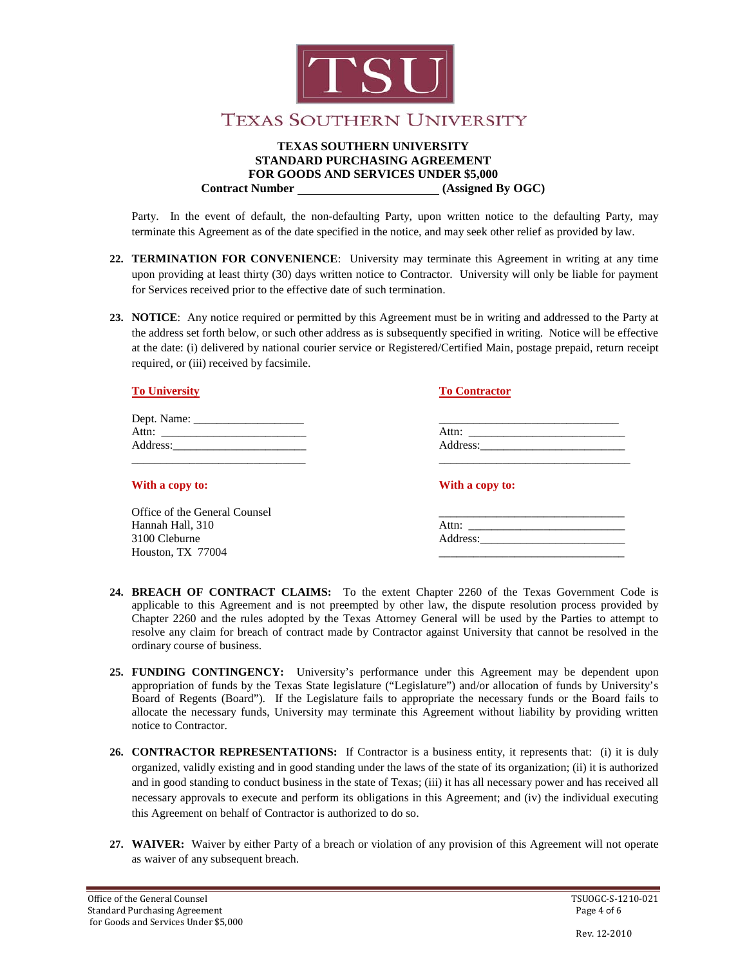

#### **TEXAS SOUTHERN UNIVERSITY STANDARD PURCHASING AGREEMENT FOR GOODS AND SERVICES UNDER \$5,000 Contract Number (Assigned By OGC)**

Party. In the event of default, the non-defaulting Party, upon written notice to the defaulting Party, may terminate this Agreement as of the date specified in the notice, and may seek other relief as provided by law.

- **22. TERMINATION FOR CONVENIENCE**: University may terminate this Agreement in writing at any time upon providing at least thirty (30) days written notice to Contractor. University will only be liable for payment for Services received prior to the effective date of such termination.
- **23. NOTICE**: Any notice required or permitted by this Agreement must be in writing and addressed to the Party at the address set forth below, or such other address as is subsequently specified in writing. Notice will be effective at the date: (i) delivered by national courier service or Registered/Certified Main, postage prepaid, return receipt required, or (iii) received by facsimile.

| <b>To University</b>          | <b>To Contractor</b> |
|-------------------------------|----------------------|
|                               |                      |
|                               |                      |
|                               |                      |
|                               |                      |
| With a copy to:               | With a copy to:      |
| Office of the General Counsel |                      |
| Hannah Hall, 310              |                      |
| 3100 Cleburne                 |                      |

- **24. BREACH OF CONTRACT CLAIMS:** To the extent Chapter 2260 of the Texas Government Code is applicable to this Agreement and is not preempted by other law, the dispute resolution process provided by Chapter 2260 and the rules adopted by the Texas Attorney General will be used by the Parties to attempt to resolve any claim for breach of contract made by Contractor against University that cannot be resolved in the ordinary course of business.
- **25. FUNDING CONTINGENCY:** University's performance under this Agreement may be dependent upon appropriation of funds by the Texas State legislature ("Legislature") and/or allocation of funds by University's Board of Regents (Board"). If the Legislature fails to appropriate the necessary funds or the Board fails to allocate the necessary funds, University may terminate this Agreement without liability by providing written notice to Contractor.
- **26. CONTRACTOR REPRESENTATIONS:** If Contractor is a business entity, it represents that: (i) it is duly organized, validly existing and in good standing under the laws of the state of its organization; (ii) it is authorized and in good standing to conduct business in the state of Texas; (iii) it has all necessary power and has received all necessary approvals to execute and perform its obligations in this Agreement; and (iv) the individual executing this Agreement on behalf of Contractor is authorized to do so.
- **27. WAIVER:** Waiver by either Party of a breach or violation of any provision of this Agreement will not operate as waiver of any subsequent breach.

Houston, TX 77004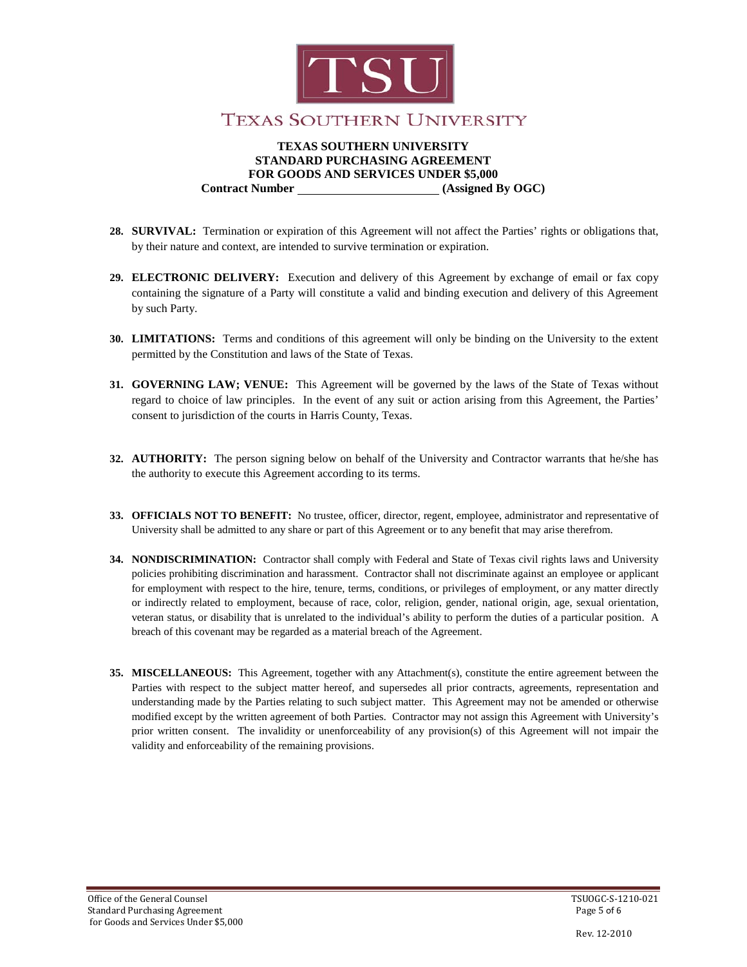

#### **TEXAS SOUTHERN UNIVERSITY STANDARD PURCHASING AGREEMENT FOR GOODS AND SERVICES UNDER \$5,000 Contract Number (Assigned By OGC)**

- **28. SURVIVAL:** Termination or expiration of this Agreement will not affect the Parties' rights or obligations that, by their nature and context, are intended to survive termination or expiration.
- **29. ELECTRONIC DELIVERY:** Execution and delivery of this Agreement by exchange of email or fax copy containing the signature of a Party will constitute a valid and binding execution and delivery of this Agreement by such Party.
- **30. LIMITATIONS:** Terms and conditions of this agreement will only be binding on the University to the extent permitted by the Constitution and laws of the State of Texas.
- **31. GOVERNING LAW; VENUE:** This Agreement will be governed by the laws of the State of Texas without regard to choice of law principles. In the event of any suit or action arising from this Agreement, the Parties' consent to jurisdiction of the courts in Harris County, Texas.
- **32. AUTHORITY:** The person signing below on behalf of the University and Contractor warrants that he/she has the authority to execute this Agreement according to its terms.
- **33. OFFICIALS NOT TO BENEFIT:** No trustee, officer, director, regent, employee, administrator and representative of University shall be admitted to any share or part of this Agreement or to any benefit that may arise therefrom.
- **34. NONDISCRIMINATION:** Contractor shall comply with Federal and State of Texas civil rights laws and University policies prohibiting discrimination and harassment. Contractor shall not discriminate against an employee or applicant for employment with respect to the hire, tenure, terms, conditions, or privileges of employment, or any matter directly or indirectly related to employment, because of race, color, religion, gender, national origin, age, sexual orientation, veteran status, or disability that is unrelated to the individual's ability to perform the duties of a particular position. A breach of this covenant may be regarded as a material breach of the Agreement.
- **35. MISCELLANEOUS:** This Agreement, together with any Attachment(s), constitute the entire agreement between the Parties with respect to the subject matter hereof, and supersedes all prior contracts, agreements, representation and understanding made by the Parties relating to such subject matter. This Agreement may not be amended or otherwise modified except by the written agreement of both Parties. Contractor may not assign this Agreement with University's prior written consent. The invalidity or unenforceability of any provision(s) of this Agreement will not impair the validity and enforceability of the remaining provisions.

Rev. 12-2010